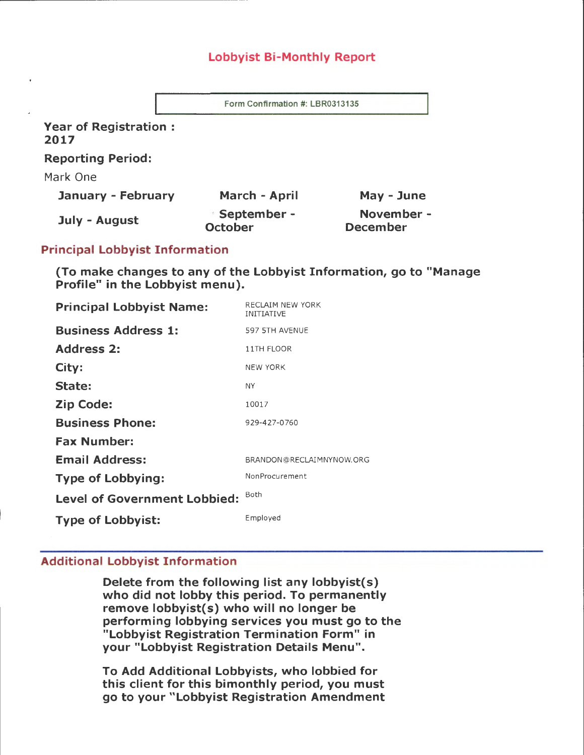## Lobbyist Bi-Monthly Report

Form Confirmation #: LBR0313135

Year of Registration : 2017

--------------------

Reporting Period:

Mark One

| January - February | March - April                        | May - June                    |
|--------------------|--------------------------------------|-------------------------------|
| July - August      | <b>September -</b><br><b>October</b> | November -<br><b>December</b> |

## Principal Lobbyist Information

(To make changes to any of the Lobbyist Information, go to "Manage Profile" in the Lobbyist menu).

| <b>Principal Lobbyist Name:</b>     | RECLAIM NEW YORK<br><b>INITIATIVE</b> |
|-------------------------------------|---------------------------------------|
| <b>Business Address 1:</b>          | 597 5TH AVENUE                        |
| <b>Address 2:</b>                   | 11TH FLOOR                            |
| City:                               | <b>NEW YORK</b>                       |
| State:                              | <b>NY</b>                             |
| <b>Zip Code:</b>                    | 10017                                 |
| <b>Business Phone:</b>              | 929-427-0760                          |
| <b>Fax Number:</b>                  |                                       |
| <b>Email Address:</b>               | BRANDON@RECLAIMNYNOW.ORG              |
| <b>Type of Lobbying:</b>            | NonProcurement                        |
| <b>Level of Government Lobbied:</b> | Both                                  |
| <b>Type of Lobbyist:</b>            | Employed                              |

## Additional Lobbyist Information

Delete from the following list any lobbyist(s) who did not lobby this period. To permanently remove lobbyist(s) who will no longer be performing lobbying services you must go to the "Lobbyist Registration Termination Form" in your "Lobbyist Registration Details Menu".

To Add Additional Lobbyists, who lobbied for this client for this bimonthly period, you must go to your "Lobbyist Registration Amendment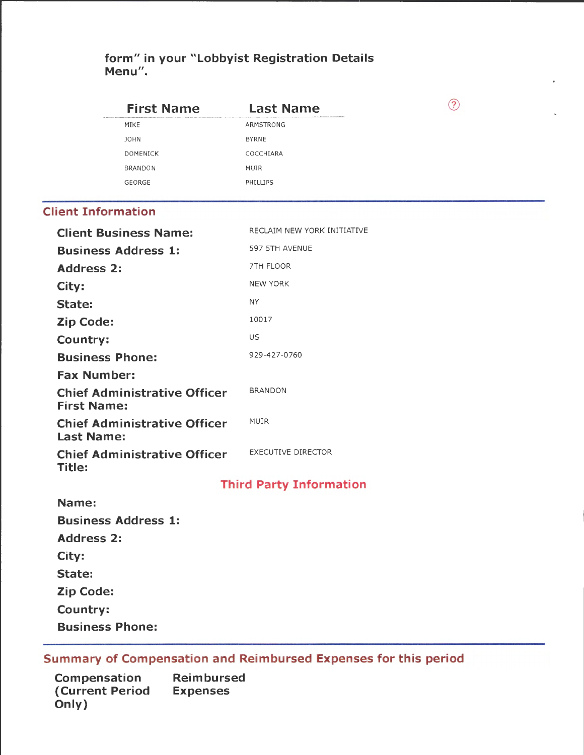# **form" in your "Lobbyist Registration Details Menu".**

|                           | <b>First Name</b>                   | <b>Last Name</b>               | ᢙ |
|---------------------------|-------------------------------------|--------------------------------|---|
|                           | MIKE                                | ARMSTRONG                      |   |
|                           | <b>JOHN</b>                         | <b>BYRNE</b>                   |   |
|                           | <b>DOMENICK</b>                     | COCCHIARA                      |   |
|                           | <b>BRANDON</b>                      | MUIR                           |   |
|                           | GEORGE                              | PHILLIPS                       |   |
| <b>Client Information</b> |                                     |                                |   |
|                           | <b>Client Business Name:</b>        | RECLAIM NEW YORK INITIATIVE    |   |
|                           | <b>Business Address 1:</b>          | 597 5TH AVENUE                 |   |
| <b>Address 2:</b>         |                                     | 7TH FLOOR                      |   |
| City:                     |                                     | <b>NEW YORK</b>                |   |
| State:                    |                                     | NY.                            |   |
| <b>Zip Code:</b>          |                                     | 10017                          |   |
| Country:                  |                                     | US                             |   |
| <b>Business Phone:</b>    |                                     | 929-427-0760                   |   |
| <b>Fax Number:</b>        |                                     |                                |   |
| <b>First Name:</b>        | <b>Chief Administrative Officer</b> | <b>BRANDON</b>                 |   |
| <b>Last Name:</b>         | <b>Chief Administrative Officer</b> | MUIR                           |   |
| <b>Title:</b>             | <b>Chief Administrative Officer</b> | <b>EXECUTIVE DIRECTOR</b>      |   |
|                           |                                     | <b>Third Party Information</b> |   |
| Name:                     |                                     |                                |   |
|                           | <b>Business Address 1:</b>          |                                |   |
| <b>Address 2:</b>         |                                     |                                |   |
| City:                     |                                     |                                |   |
| State:                    |                                     |                                |   |
| <b>Zip Code:</b>          |                                     |                                |   |
| Country:                  |                                     |                                |   |
| <b>Business Phone:</b>    |                                     |                                |   |
|                           |                                     |                                |   |

**Summary of Compensation and Reimbursed Expenses for this period** 

**Compensation (Current Period Only) Reimbursed Expenses**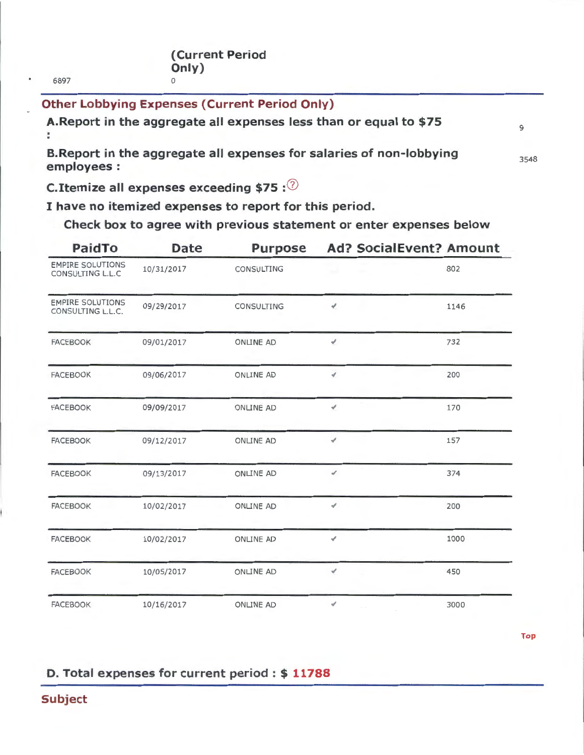6897

# **Other Lobbying Expenses (Current Period Only)**

**A.Report in the aggregate all expenses less than or equal to \$75** 

**B.Report in the aggregate all expenses for salaries of non-lobbying employees:** 

3548

9

**C.Itemize all expenses exceeding \$75 : 2** 

**I have no itemized expenses to report for this period.** 

**Check box to agree with previous statement or enter expenses below** 

| <b>PaidTo</b>                                | <b>Date</b> | <b>Purpose</b>   | <b>Ad? SocialEvent? Amount</b> |      |  |
|----------------------------------------------|-------------|------------------|--------------------------------|------|--|
| <b>EMPIRE SOLUTIONS</b><br>CONSULTING L.L.C  | 10/31/2017  | CONSULTING       |                                | 802  |  |
| <b>EMPIRE SOLUTIONS</b><br>CONSULTING L.L.C. | 09/29/2017  | CONSULTING       | ¥.                             | 1146 |  |
| <b>FACEBOOK</b>                              | 09/01/2017  | ONLINE AD        | ¥.                             | 732  |  |
| <b>FACEBOOK</b>                              | 09/06/2017  | <b>ONLINE AD</b> | $\overline{\mathcal{L}}$       | 200  |  |
| <b>FACEBOOK</b>                              | 09/09/2017  | <b>ONLINE AD</b> | $\mathcal{A}$                  | 170  |  |
| <b>FACEBOOK</b>                              | 09/12/2017  | <b>ONLINE AD</b> | $\mathcal{A}$                  | 157  |  |
| <b>FACEBOOK</b>                              | 09/13/2017  | ONLINE AD        | $\mathcal{A}$                  | 374  |  |
| <b>FACEBOOK</b>                              | 10/02/2017  | ONLINE AD        | ∢                              | 200  |  |
| <b>FACEBOOK</b>                              | 10/02/2017  | <b>ONLINE AD</b> | ¥.                             | 1000 |  |
| <b>FACEBOOK</b>                              | 10/05/2017  | <b>ONLINE AD</b> | ∢                              | 450  |  |
| <b>FACEBOOK</b>                              | 10/16/2017  | <b>ONLINE AD</b> | ✔                              | 3000 |  |

**Top** 

# **D. Total expenses for current period** : \$ **11788**

**Subject**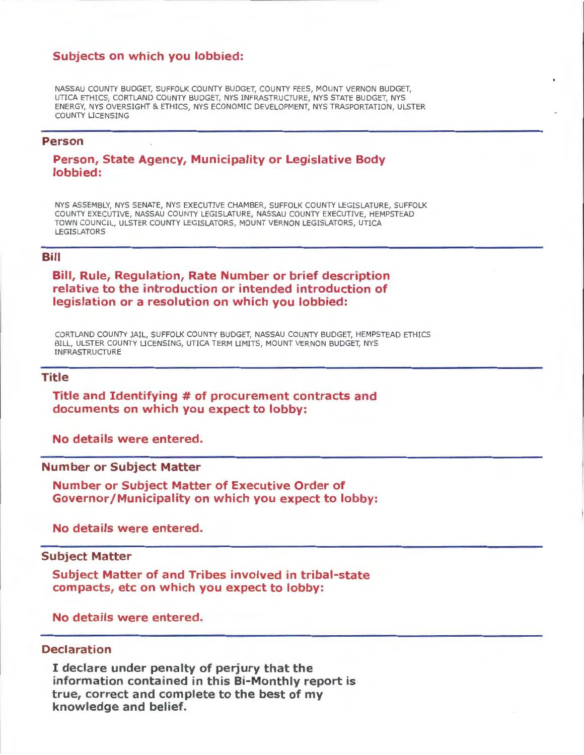## **Subjects on which you lobbied:**

NASSAU COUNTY BUDGET, SUFFOLK COUNTY BUDGET, COUNTY FEES, MOUNT VERNON BUDGET, UTICA ETHICS, CORTLAND COUNTY BUDGET, NYS INFRASTRUCTURE, NYS STATE BUDGET, NYS ENERGY, NYS OVERSIGHT & ETHICS, NYS ECONOMIC DEVELOPMENT, NYS TRASPORTATION, ULSTER COUNTY LICENSING

### **Person**

## **Person, State Agency, Municipality or Legislative Body lobbied:**

NYS ASSEMBLY, NYS SENATE, NYS EXECUTIVE CHAMBER, SUFFOLK COUNTY LEGISLATURE, SUFFOLK COUNTY EXECUTIVE, NASSAU COUNTY LEGISLATURE, NASSAU COUNTY EXECUTIVE, HEMPSTEAD TOWN COUNCIL, ULSTER COUNTY LEGISLATORS, MOUNT VERNON LEGISLATORS, UTICA LEGISLATORS

#### **Bill**

## **Bill, Rule, Regulation, Rate Number or brief description relative to the introduction or intended introduction of legislation or a resolution on which you lobbied:**

CORTLAND COUNTY JAIL, SUFFOLK COUNTY BUDGET, NASSAU COUNTY BUDGET, HEMPSTEAD ETHICS BILL, ULSTER COUNTY LICENSING, UTICA TERM LIMITS, MOUNT VERNON BUDGET, NYS INFRASTRUCTURE

### **Title**

## **Title and Identifying #of procurement contracts and documents on which you expect to lobby:**

**No details were entered.** 

### **Number or Subject Matter**

**Number or Subject Matter of Executive Order of Governor/Municipality on which you expect to lobby:** 

**No details were entered.** 

### **Subject Matter**

**Subject Matter of and Tribes involved in tribal-state compacts, etc on which you expect to lobby:** 

**No details were entered.** 

### **Declaration**

I **declare under penalty of perjury that the information contained in this Bi-Monthly report is true, correct and complete to the best of my knowledge and belief.**